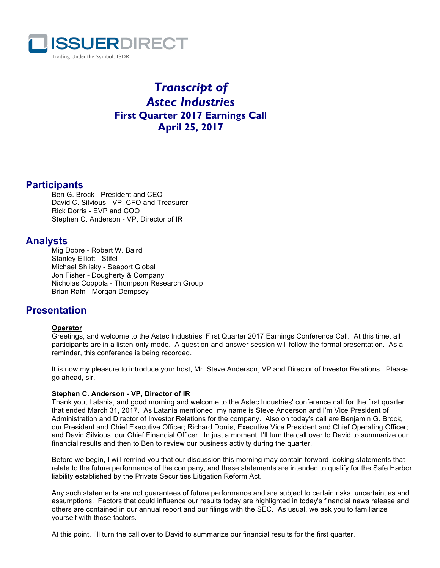

# *Transcript of Astec Industries* **First Quarter 2017 Earnings Call April 25, 2017**

# **Participants**

Ben G. Brock - President and CEO David C. Silvious - VP, CFO and Treasurer Rick Dorris - EVP and COO Stephen C. Anderson - VP, Director of IR

# **Analysts**

Mig Dobre - Robert W. Baird Stanley Elliott - Stifel Michael Shlisky - Seaport Global Jon Fisher - Dougherty & Company Nicholas Coppola - Thompson Research Group Brian Rafn - Morgan Dempsey

# **Presentation**

# **Operator**

Greetings, and welcome to the Astec Industries' First Quarter 2017 Earnings Conference Call. At this time, all participants are in a listen-only mode. A question-and-answer session will follow the formal presentation. As a reminder, this conference is being recorded.

It is now my pleasure to introduce your host, Mr. Steve Anderson, VP and Director of Investor Relations. Please go ahead, sir.

# **Stephen C. Anderson - VP, Director of IR**

Thank you, Latania, and good morning and welcome to the Astec Industries' conference call for the first quarter that ended March 31, 2017. As Latania mentioned, my name is Steve Anderson and I'm Vice President of Administration and Director of Investor Relations for the company. Also on today's call are Benjamin G. Brock, our President and Chief Executive Officer; Richard Dorris, Executive Vice President and Chief Operating Officer; and David Silvious, our Chief Financial Officer. In just a moment, I'll turn the call over to David to summarize our financial results and then to Ben to review our business activity during the quarter.

Before we begin, I will remind you that our discussion this morning may contain forward-looking statements that relate to the future performance of the company, and these statements are intended to qualify for the Safe Harbor liability established by the Private Securities Litigation Reform Act.

Any such statements are not guarantees of future performance and are subject to certain risks, uncertainties and assumptions. Factors that could influence our results today are highlighted in today's financial news release and others are contained in our annual report and our filings with the SEC. As usual, we ask you to familiarize yourself with those factors.

At this point, I'll turn the call over to David to summarize our financial results for the first quarter.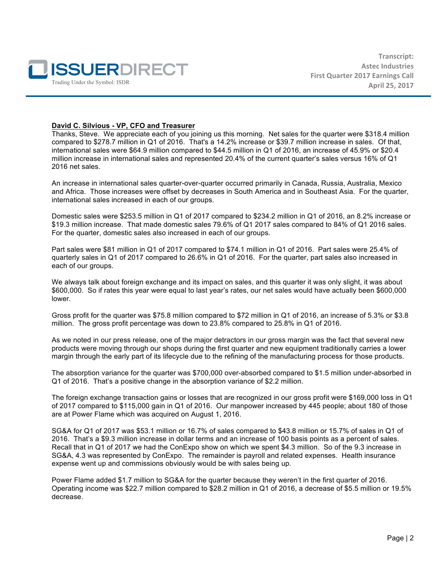

#### **David C. Silvious - VP, CFO and Treasurer**

Thanks, Steve. We appreciate each of you joining us this morning. Net sales for the quarter were \$318.4 million compared to \$278.7 million in Q1 of 2016. That's a 14.2% increase or \$39.7 million increase in sales. Of that, international sales were \$64.9 million compared to \$44.5 million in Q1 of 2016, an increase of 45.9% or \$20.4 million increase in international sales and represented 20.4% of the current quarter's sales versus 16% of Q1 2016 net sales.

An increase in international sales quarter-over-quarter occurred primarily in Canada, Russia, Australia, Mexico and Africa. Those increases were offset by decreases in South America and in Southeast Asia. For the quarter, international sales increased in each of our groups.

Domestic sales were \$253.5 million in Q1 of 2017 compared to \$234.2 million in Q1 of 2016, an 8.2% increase or \$19.3 million increase. That made domestic sales 79.6% of Q1 2017 sales compared to 84% of Q1 2016 sales. For the quarter, domestic sales also increased in each of our groups.

Part sales were \$81 million in Q1 of 2017 compared to \$74.1 million in Q1 of 2016. Part sales were 25.4% of quarterly sales in Q1 of 2017 compared to 26.6% in Q1 of 2016. For the quarter, part sales also increased in each of our groups.

We always talk about foreign exchange and its impact on sales, and this quarter it was only slight, it was about \$600,000. So if rates this year were equal to last year's rates, our net sales would have actually been \$600,000 lower.

Gross profit for the quarter was \$75.8 million compared to \$72 million in Q1 of 2016, an increase of 5.3% or \$3.8 million. The gross profit percentage was down to 23.8% compared to 25.8% in Q1 of 2016.

As we noted in our press release, one of the major detractors in our gross margin was the fact that several new products were moving through our shops during the first quarter and new equipment traditionally carries a lower margin through the early part of its lifecycle due to the refining of the manufacturing process for those products.

The absorption variance for the quarter was \$700,000 over-absorbed compared to \$1.5 million under-absorbed in Q1 of 2016. That's a positive change in the absorption variance of \$2.2 million.

The foreign exchange transaction gains or losses that are recognized in our gross profit were \$169,000 loss in Q1 of 2017 compared to \$115,000 gain in Q1 of 2016. Our manpower increased by 445 people; about 180 of those are at Power Flame which was acquired on August 1, 2016.

SG&A for Q1 of 2017 was \$53.1 million or 16.7% of sales compared to \$43.8 million or 15.7% of sales in Q1 of 2016. That's a \$9.3 million increase in dollar terms and an increase of 100 basis points as a percent of sales. Recall that in Q1 of 2017 we had the ConExpo show on which we spent \$4.3 million. So of the 9.3 increase in SG&A, 4.3 was represented by ConExpo. The remainder is payroll and related expenses. Health insurance expense went up and commissions obviously would be with sales being up.

Power Flame added \$1.7 million to SG&A for the quarter because they weren't in the first quarter of 2016. Operating income was \$22.7 million compared to \$28.2 million in Q1 of 2016, a decrease of \$5.5 million or 19.5% decrease.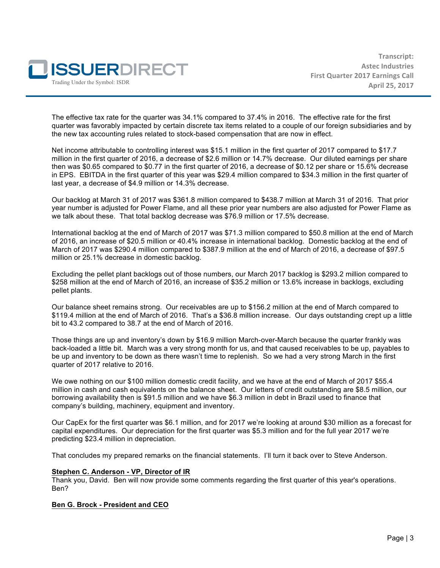

The effective tax rate for the quarter was 34.1% compared to 37.4% in 2016. The effective rate for the first quarter was favorably impacted by certain discrete tax items related to a couple of our foreign subsidiaries and by the new tax accounting rules related to stock-based compensation that are now in effect.

Net income attributable to controlling interest was \$15.1 million in the first quarter of 2017 compared to \$17.7 million in the first quarter of 2016, a decrease of \$2.6 million or 14.7% decrease. Our diluted earnings per share then was \$0.65 compared to \$0.77 in the first quarter of 2016, a decrease of \$0.12 per share or 15.6% decrease in EPS. EBITDA in the first quarter of this year was \$29.4 million compared to \$34.3 million in the first quarter of last year, a decrease of \$4.9 million or 14.3% decrease.

Our backlog at March 31 of 2017 was \$361.8 million compared to \$438.7 million at March 31 of 2016. That prior year number is adjusted for Power Flame, and all these prior year numbers are also adjusted for Power Flame as we talk about these. That total backlog decrease was \$76.9 million or 17.5% decrease.

International backlog at the end of March of 2017 was \$71.3 million compared to \$50.8 million at the end of March of 2016, an increase of \$20.5 million or 40.4% increase in international backlog. Domestic backlog at the end of March of 2017 was \$290.4 million compared to \$387.9 million at the end of March of 2016, a decrease of \$97.5 million or 25.1% decrease in domestic backlog.

Excluding the pellet plant backlogs out of those numbers, our March 2017 backlog is \$293.2 million compared to \$258 million at the end of March of 2016, an increase of \$35.2 million or 13.6% increase in backlogs, excluding pellet plants.

Our balance sheet remains strong. Our receivables are up to \$156.2 million at the end of March compared to \$119.4 million at the end of March of 2016. That's a \$36.8 million increase. Our days outstanding crept up a little bit to 43.2 compared to 38.7 at the end of March of 2016.

Those things are up and inventory's down by \$16.9 million March-over-March because the quarter frankly was back-loaded a little bit. March was a very strong month for us, and that caused receivables to be up, payables to be up and inventory to be down as there wasn't time to replenish. So we had a very strong March in the first quarter of 2017 relative to 2016.

We owe nothing on our \$100 million domestic credit facility, and we have at the end of March of 2017 \$55.4 million in cash and cash equivalents on the balance sheet. Our letters of credit outstanding are \$8.5 million, our borrowing availability then is \$91.5 million and we have \$6.3 million in debt in Brazil used to finance that company's building, machinery, equipment and inventory.

Our CapEx for the first quarter was \$6.1 million, and for 2017 we're looking at around \$30 million as a forecast for capital expenditures. Our depreciation for the first quarter was \$5.3 million and for the full year 2017 we're predicting \$23.4 million in depreciation.

That concludes my prepared remarks on the financial statements. I'll turn it back over to Steve Anderson.

#### **Stephen C. Anderson - VP, Director of IR**

Thank you, David. Ben will now provide some comments regarding the first quarter of this year's operations. Ben?

#### **Ben G. Brock - President and CEO**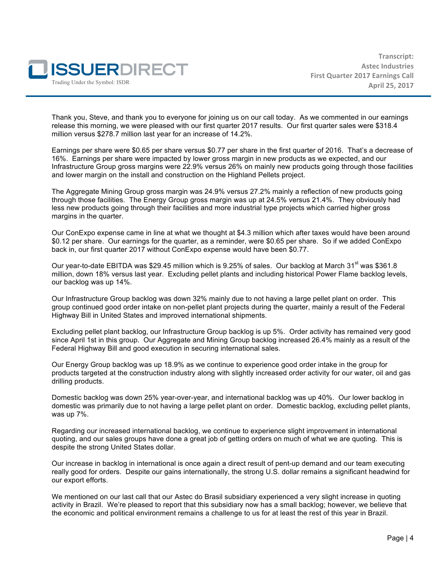

Thank you, Steve, and thank you to everyone for joining us on our call today. As we commented in our earnings release this morning, we were pleased with our first quarter 2017 results. Our first quarter sales were \$318.4 million versus \$278.7 million last year for an increase of 14.2%.

Earnings per share were \$0.65 per share versus \$0.77 per share in the first quarter of 2016. That's a decrease of 16%. Earnings per share were impacted by lower gross margin in new products as we expected, and our Infrastructure Group gross margins were 22.9% versus 26% on mainly new products going through those facilities and lower margin on the install and construction on the Highland Pellets project.

The Aggregate Mining Group gross margin was 24.9% versus 27.2% mainly a reflection of new products going through those facilities. The Energy Group gross margin was up at 24.5% versus 21.4%. They obviously had less new products going through their facilities and more industrial type projects which carried higher gross margins in the quarter.

Our ConExpo expense came in line at what we thought at \$4.3 million which after taxes would have been around \$0.12 per share. Our earnings for the quarter, as a reminder, were \$0.65 per share. So if we added ConExpo back in, our first quarter 2017 without ConExpo expense would have been \$0.77.

Our year-to-date EBITDA was \$29.45 million which is 9.25% of sales. Our backlog at March 31<sup>st</sup> was \$361.8 million, down 18% versus last year. Excluding pellet plants and including historical Power Flame backlog levels, our backlog was up 14%.

Our Infrastructure Group backlog was down 32% mainly due to not having a large pellet plant on order. This group continued good order intake on non-pellet plant projects during the quarter, mainly a result of the Federal Highway Bill in United States and improved international shipments.

Excluding pellet plant backlog, our Infrastructure Group backlog is up 5%. Order activity has remained very good since April 1st in this group. Our Aggregate and Mining Group backlog increased 26.4% mainly as a result of the Federal Highway Bill and good execution in securing international sales.

Our Energy Group backlog was up 18.9% as we continue to experience good order intake in the group for products targeted at the construction industry along with slightly increased order activity for our water, oil and gas drilling products.

Domestic backlog was down 25% year-over-year, and international backlog was up 40%. Our lower backlog in domestic was primarily due to not having a large pellet plant on order. Domestic backlog, excluding pellet plants, was up 7%.

Regarding our increased international backlog, we continue to experience slight improvement in international quoting, and our sales groups have done a great job of getting orders on much of what we are quoting. This is despite the strong United States dollar.

Our increase in backlog in international is once again a direct result of pent-up demand and our team executing really good for orders. Despite our gains internationally, the strong U.S. dollar remains a significant headwind for our export efforts.

We mentioned on our last call that our Astec do Brasil subsidiary experienced a very slight increase in quoting activity in Brazil. We're pleased to report that this subsidiary now has a small backlog; however, we believe that the economic and political environment remains a challenge to us for at least the rest of this year in Brazil.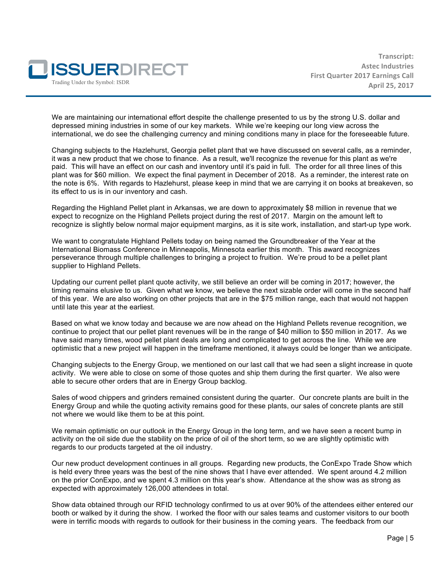

We are maintaining our international effort despite the challenge presented to us by the strong U.S. dollar and depressed mining industries in some of our key markets. While we're keeping our long view across the international, we do see the challenging currency and mining conditions many in place for the foreseeable future.

Changing subjects to the Hazlehurst, Georgia pellet plant that we have discussed on several calls, as a reminder, it was a new product that we chose to finance. As a result, we'll recognize the revenue for this plant as we're paid. This will have an effect on our cash and inventory until it's paid in full. The order for all three lines of this plant was for \$60 million. We expect the final payment in December of 2018. As a reminder, the interest rate on the note is 6%. With regards to Hazlehurst, please keep in mind that we are carrying it on books at breakeven, so its effect to us is in our inventory and cash.

Regarding the Highland Pellet plant in Arkansas, we are down to approximately \$8 million in revenue that we expect to recognize on the Highland Pellets project during the rest of 2017. Margin on the amount left to recognize is slightly below normal major equipment margins, as it is site work, installation, and start-up type work.

We want to congratulate Highland Pellets today on being named the Groundbreaker of the Year at the International Biomass Conference in Minneapolis, Minnesota earlier this month. This award recognizes perseverance through multiple challenges to bringing a project to fruition. We're proud to be a pellet plant supplier to Highland Pellets.

Updating our current pellet plant quote activity, we still believe an order will be coming in 2017; however, the timing remains elusive to us. Given what we know, we believe the next sizable order will come in the second half of this year. We are also working on other projects that are in the \$75 million range, each that would not happen until late this year at the earliest.

Based on what we know today and because we are now ahead on the Highland Pellets revenue recognition, we continue to project that our pellet plant revenues will be in the range of \$40 million to \$50 million in 2017. As we have said many times, wood pellet plant deals are long and complicated to get across the line. While we are optimistic that a new project will happen in the timeframe mentioned, it always could be longer than we anticipate.

Changing subjects to the Energy Group, we mentioned on our last call that we had seen a slight increase in quote activity. We were able to close on some of those quotes and ship them during the first quarter. We also were able to secure other orders that are in Energy Group backlog.

Sales of wood chippers and grinders remained consistent during the quarter. Our concrete plants are built in the Energy Group and while the quoting activity remains good for these plants, our sales of concrete plants are still not where we would like them to be at this point.

We remain optimistic on our outlook in the Energy Group in the long term, and we have seen a recent bump in activity on the oil side due the stability on the price of oil of the short term, so we are slightly optimistic with regards to our products targeted at the oil industry.

Our new product development continues in all groups. Regarding new products, the ConExpo Trade Show which is held every three years was the best of the nine shows that I have ever attended. We spent around 4.2 million on the prior ConExpo, and we spent 4.3 million on this year's show. Attendance at the show was as strong as expected with approximately 126,000 attendees in total.

Show data obtained through our RFID technology confirmed to us at over 90% of the attendees either entered our booth or walked by it during the show. I worked the floor with our sales teams and customer visitors to our booth were in terrific moods with regards to outlook for their business in the coming years. The feedback from our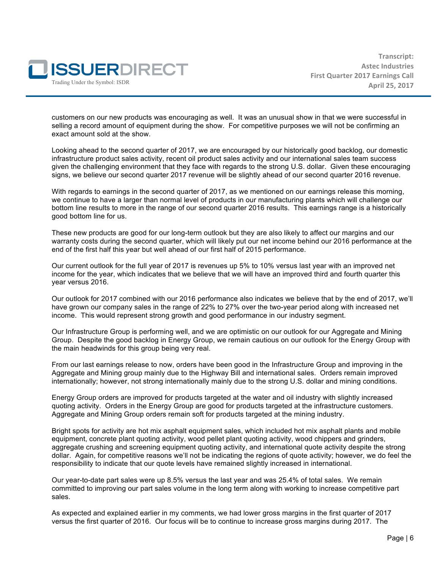

customers on our new products was encouraging as well. It was an unusual show in that we were successful in selling a record amount of equipment during the show. For competitive purposes we will not be confirming an exact amount sold at the show.

Looking ahead to the second quarter of 2017, we are encouraged by our historically good backlog, our domestic infrastructure product sales activity, recent oil product sales activity and our international sales team success given the challenging environment that they face with regards to the strong U.S. dollar. Given these encouraging signs, we believe our second quarter 2017 revenue will be slightly ahead of our second quarter 2016 revenue.

With regards to earnings in the second quarter of 2017, as we mentioned on our earnings release this morning, we continue to have a larger than normal level of products in our manufacturing plants which will challenge our bottom line results to more in the range of our second quarter 2016 results. This earnings range is a historically good bottom line for us.

These new products are good for our long-term outlook but they are also likely to affect our margins and our warranty costs during the second quarter, which will likely put our net income behind our 2016 performance at the end of the first half this year but well ahead of our first half of 2015 performance.

Our current outlook for the full year of 2017 is revenues up 5% to 10% versus last year with an improved net income for the year, which indicates that we believe that we will have an improved third and fourth quarter this year versus 2016.

Our outlook for 2017 combined with our 2016 performance also indicates we believe that by the end of 2017, we'll have grown our company sales in the range of 22% to 27% over the two-year period along with increased net income. This would represent strong growth and good performance in our industry segment.

Our Infrastructure Group is performing well, and we are optimistic on our outlook for our Aggregate and Mining Group. Despite the good backlog in Energy Group, we remain cautious on our outlook for the Energy Group with the main headwinds for this group being very real.

From our last earnings release to now, orders have been good in the Infrastructure Group and improving in the Aggregate and Mining group mainly due to the Highway Bill and international sales. Orders remain improved internationally; however, not strong internationally mainly due to the strong U.S. dollar and mining conditions.

Energy Group orders are improved for products targeted at the water and oil industry with slightly increased quoting activity. Orders in the Energy Group are good for products targeted at the infrastructure customers. Aggregate and Mining Group orders remain soft for products targeted at the mining industry.

Bright spots for activity are hot mix asphalt equipment sales, which included hot mix asphalt plants and mobile equipment, concrete plant quoting activity, wood pellet plant quoting activity, wood chippers and grinders, aggregate crushing and screening equipment quoting activity, and international quote activity despite the strong dollar. Again, for competitive reasons we'll not be indicating the regions of quote activity; however, we do feel the responsibility to indicate that our quote levels have remained slightly increased in international.

Our year-to-date part sales were up 8.5% versus the last year and was 25.4% of total sales. We remain committed to improving our part sales volume in the long term along with working to increase competitive part sales.

As expected and explained earlier in my comments, we had lower gross margins in the first quarter of 2017 versus the first quarter of 2016. Our focus will be to continue to increase gross margins during 2017. The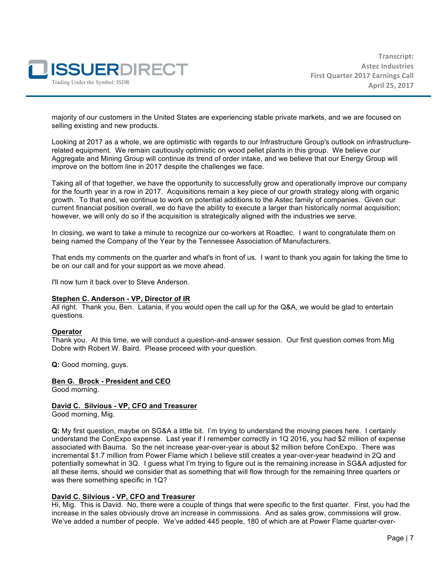

majority of our customers in the United States are experiencing stable private markets, and we are focused on selling existing and new products.

Looking at 2017 as a whole, we are optimistic with regards to our Infrastructure Group's outlook on infrastructurerelated equipment. We remain cautiously optimistic on wood pellet plants in this group. We believe our Aggregate and Mining Group will continue its trend of order intake, and we believe that our Energy Group will improve on the bottom line in 2017 despite the challenges we face.

Taking all of that together, we have the opportunity to successfully grow and operationally improve our company for the fourth year in a row in 2017. Acquisitions remain a key piece of our growth strategy along with organic growth. To that end, we continue to work on potential additions to the Astec family of companies. Given our current financial position overall, we do have the ability to execute a larger than historically normal acquisition; however, we will only do so if the acquisition is strategically aligned with the industries we serve.

In closing, we want to take a minute to recognize our co-workers at Roadtec. I want to congratulate them on being named the Company of the Year by the Tennessee Association of Manufacturers.

That ends my comments on the quarter and what's in front of us. I want to thank you again for taking the time to be on our call and for your support as we move ahead.

I'll now turn it back over to Steve Anderson.

#### **Stephen C. Anderson - VP, Director of IR**

All right. Thank you, Ben. Latania, if you would open the call up for the Q&A, we would be glad to entertain questions.

#### **Operator**

Thank you. At this time, we will conduct a question-and-answer session. Our first question comes from Mig Dobre with Robert W. Baird. Please proceed with your question.

**Q:** Good morning, guys.

#### **Ben G. Brock - President and CEO**

Good morning.

#### **David C. Silvious - VP, CFO and Treasurer**

Good morning, Mig.

**Q:** My first question, maybe on SG&A a little bit. I'm trying to understand the moving pieces here. I certainly understand the ConExpo expense. Last year if I remember correctly in 1Q 2016, you had \$2 million of expense associated with Bauma. So the net increase year-over-year is about \$2 million before ConExpo. There was incremental \$1.7 million from Power Flame which I believe still creates a year-over-year headwind in 2Q and potentially somewhat in 3Q. I guess what I'm trying to figure out is the remaining increase in SG&A adjusted for all these items, should we consider that as something that will flow through for the remaining three quarters or was there something specific in 1Q?

#### **David C. Silvious - VP, CFO and Treasurer**

Hi, Mig. This is David. No, there were a couple of things that were specific to the first quarter. First, you had the increase in the sales obviously drove an increase in commissions. And as sales grow, commissions will grow. We've added a number of people. We've added 445 people, 180 of which are at Power Flame quarter-over-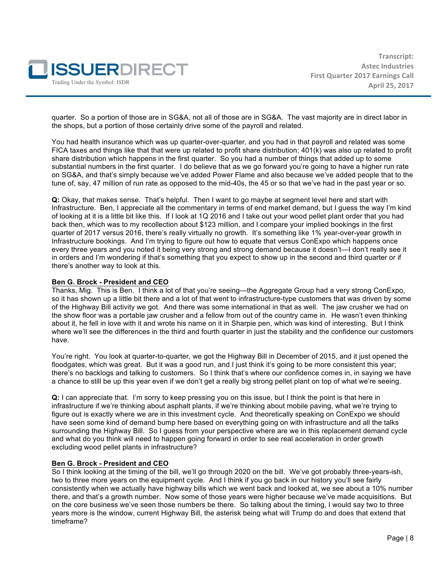

quarter. So a portion of those are in SG&A, not all of those are in SG&A. The vast majority are in direct labor in the shops, but a portion of those certainly drive some of the payroll and related.

You had health insurance which was up quarter-over-quarter, and you had in that payroll and related was some FICA taxes and things like that that were up related to profit share distribution; 401(k) was also up related to profit share distribution which happens in the first quarter. So you had a number of things that added up to some substantial numbers in the first quarter. I do believe that as we go forward you're going to have a higher run rate on SG&A, and that's simply because we've added Power Flame and also because we've added people that to the tune of, say, 47 million of run rate as opposed to the mid-40s, the 45 or so that we've had in the past year or so.

**Q:** Okay, that makes sense. That's helpful. Then I want to go maybe at segment level here and start with Infrastructure. Ben, I appreciate all the commentary in terms of end market demand, but I guess the way I'm kind of looking at it is a little bit like this. If I look at 1Q 2016 and I take out your wood pellet plant order that you had back then, which was to my recollection about \$123 million, and I compare your implied bookings in the first quarter of 2017 versus 2016, there's really virtually no growth. It's something like 1% year-over-year growth in Infrastructure bookings. And I'm trying to figure out how to equate that versus ConExpo which happens once every three years and you noted it being very strong and strong demand because it doesn't—I don't really see it in orders and I'm wondering if that's something that you expect to show up in the second and third quarter or if there's another way to look at this.

#### **Ben G. Brock - President and CEO**

Thanks, Mig. This is Ben. I think a lot of that you're seeing—the Aggregate Group had a very strong ConExpo, so it has shown up a little bit there and a lot of that went to infrastructure-type customers that was driven by some of the Highway Bill activity we got. And there was some international in that as well. The jaw crusher we had on the show floor was a portable jaw crusher and a fellow from out of the country came in. He wasn't even thinking about it, he fell in love with it and wrote his name on it in Sharpie pen, which was kind of interesting. But I think where we'll see the differences in the third and fourth quarter in just the stability and the confidence our customers have.

You're right. You look at quarter-to-quarter, we got the Highway Bill in December of 2015, and it just opened the floodgates, which was great. But it was a good run, and I just think it's going to be more consistent this year; there's no backlogs and talking to customers. So I think that's where our confidence comes in, in saying we have a chance to still be up this year even if we don't get a really big strong pellet plant on top of what we're seeing.

**Q:** I can appreciate that. I'm sorry to keep pressing you on this issue, but I think the point is that here in infrastructure if we're thinking about asphalt plants, if we're thinking about mobile paving, what we're trying to figure out is exactly where we are in this investment cycle. And theoretically speaking on ConExpo we should have seen some kind of demand bump here based on everything going on with infrastructure and all the talks surrounding the Highway Bill. So I guess from your perspective where are we in this replacement demand cycle and what do you think will need to happen going forward in order to see real acceleration in order growth excluding wood pellet plants in infrastructure?

#### **Ben G. Brock - President and CEO**

So I think looking at the timing of the bill, we'll go through 2020 on the bill. We've got probably three-years-ish, two to three more years on the equipment cycle. And I think if you go back in our history you'll see fairly consistently when we actually have highway bills which we went back and looked at, we see about a 10% number there, and that's a growth number. Now some of those years were higher because we've made acquisitions. But on the core business we've seen those numbers be there. So talking about the timing, I would say two to three years more is the window, current Highway Bill, the asterisk being what will Trump do and does that extend that timeframe?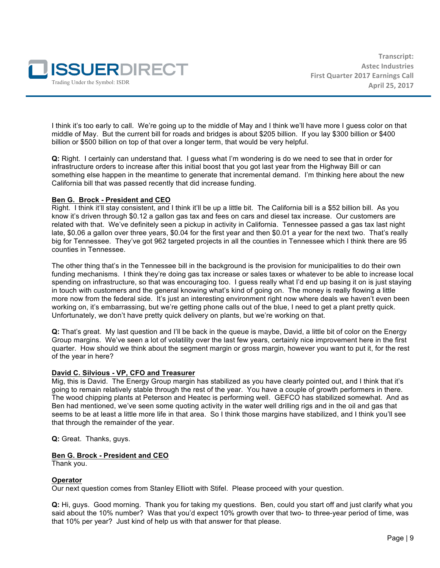

I think it's too early to call. We're going up to the middle of May and I think we'll have more I guess color on that middle of May. But the current bill for roads and bridges is about \$205 billion. If you lay \$300 billion or \$400 billion or \$500 billion on top of that over a longer term, that would be very helpful.

**Q:** Right. I certainly can understand that. I guess what I'm wondering is do we need to see that in order for infrastructure orders to increase after this initial boost that you got last year from the Highway Bill or can something else happen in the meantime to generate that incremental demand. I'm thinking here about the new California bill that was passed recently that did increase funding.

# **Ben G. Brock - President and CEO**

Right. I think it'll stay consistent, and I think it'll be up a little bit. The California bill is a \$52 billion bill. As you know it's driven through \$0.12 a gallon gas tax and fees on cars and diesel tax increase. Our customers are related with that. We've definitely seen a pickup in activity in California. Tennessee passed a gas tax last night late, \$0.06 a gallon over three years, \$0.04 for the first year and then \$0.01 a year for the next two. That's really big for Tennessee. They've got 962 targeted projects in all the counties in Tennessee which I think there are 95 counties in Tennessee.

The other thing that's in the Tennessee bill in the background is the provision for municipalities to do their own funding mechanisms. I think they're doing gas tax increase or sales taxes or whatever to be able to increase local spending on infrastructure, so that was encouraging too. I guess really what I'd end up basing it on is just staying in touch with customers and the general knowing what's kind of going on. The money is really flowing a little more now from the federal side. It's just an interesting environment right now where deals we haven't even been working on, it's embarrassing, but we're getting phone calls out of the blue, I need to get a plant pretty quick. Unfortunately, we don't have pretty quick delivery on plants, but we're working on that.

**Q:** That's great. My last question and I'll be back in the queue is maybe, David, a little bit of color on the Energy Group margins. We've seen a lot of volatility over the last few years, certainly nice improvement here in the first quarter. How should we think about the segment margin or gross margin, however you want to put it, for the rest of the year in here?

#### **David C. Silvious - VP, CFO and Treasurer**

Mig, this is David. The Energy Group margin has stabilized as you have clearly pointed out, and I think that it's going to remain relatively stable through the rest of the year. You have a couple of growth performers in there. The wood chipping plants at Peterson and Heatec is performing well. GEFCO has stabilized somewhat. And as Ben had mentioned, we've seen some quoting activity in the water well drilling rigs and in the oil and gas that seems to be at least a little more life in that area. So I think those margins have stabilized, and I think you'll see that through the remainder of the year.

**Q:** Great. Thanks, guys.

#### **Ben G. Brock - President and CEO**

Thank you.

#### **Operator**

Our next question comes from Stanley Elliott with Stifel. Please proceed with your question.

**Q:** Hi, guys. Good morning. Thank you for taking my questions. Ben, could you start off and just clarify what you said about the 10% number? Was that you'd expect 10% growth over that two- to three-year period of time, was that 10% per year? Just kind of help us with that answer for that please.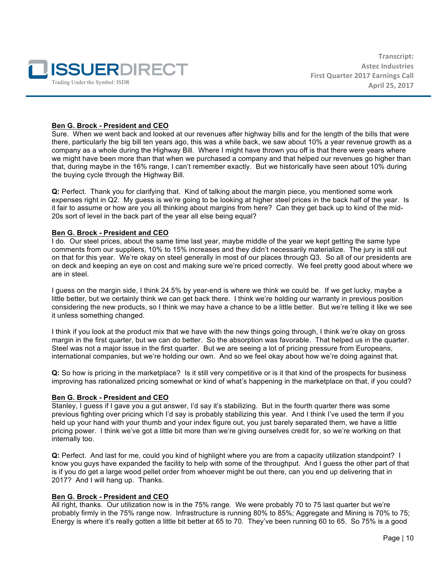

# **Ben G. Brock - President and CEO**

Sure. When we went back and looked at our revenues after highway bills and for the length of the bills that were there, particularly the big bill ten years ago, this was a while back, we saw about 10% a year revenue growth as a company as a whole during the Highway Bill. Where I might have thrown you off is that there were years where we might have been more than that when we purchased a company and that helped our revenues go higher than that, during maybe in the 16% range, I can't remember exactly. But we historically have seen about 10% during the buying cycle through the Highway Bill.

**Q:** Perfect. Thank you for clarifying that. Kind of talking about the margin piece, you mentioned some work expenses right in Q2. My guess is we're going to be looking at higher steel prices in the back half of the year. Is it fair to assume or how are you all thinking about margins from here? Can they get back up to kind of the mid-20s sort of level in the back part of the year all else being equal?

#### **Ben G. Brock - President and CEO**

I do. Our steel prices, about the same time last year, maybe middle of the year we kept getting the same type comments from our suppliers, 10% to 15% increases and they didn't necessarily materialize. The jury is still out on that for this year. We're okay on steel generally in most of our places through Q3. So all of our presidents are on deck and keeping an eye on cost and making sure we're priced correctly. We feel pretty good about where we are in steel.

I guess on the margin side, I think 24.5% by year-end is where we think we could be. If we get lucky, maybe a little better, but we certainly think we can get back there. I think we're holding our warranty in previous position considering the new products, so I think we may have a chance to be a little better. But we're telling it like we see it unless something changed.

I think if you look at the product mix that we have with the new things going through, I think we're okay on gross margin in the first quarter, but we can do better. So the absorption was favorable. That helped us in the quarter. Steel was not a major issue in the first quarter. But we are seeing a lot of pricing pressure from Europeans, international companies, but we're holding our own. And so we feel okay about how we're doing against that.

**Q:** So how is pricing in the marketplace? Is it still very competitive or is it that kind of the prospects for business improving has rationalized pricing somewhat or kind of what's happening in the marketplace on that, if you could?

#### **Ben G. Brock - President and CEO**

Stanley, I guess if I gave you a gut answer, I'd say it's stabilizing. But in the fourth quarter there was some previous fighting over pricing which I'd say is probably stabilizing this year. And I think I've used the term if you held up your hand with your thumb and your index figure out, you just barely separated them, we have a little pricing power. I think we've got a little bit more than we're giving ourselves credit for, so we're working on that internally too.

**Q:** Perfect. And last for me, could you kind of highlight where you are from a capacity utilization standpoint? I know you guys have expanded the facility to help with some of the throughput. And I guess the other part of that is if you do get a large wood pellet order from whoever might be out there, can you end up delivering that in 2017? And I will hang up. Thanks.

#### **Ben G. Brock - President and CEO**

All right, thanks. Our utilization now is in the 75% range. We were probably 70 to 75 last quarter but we're probably firmly in the 75% range now. Infrastructure is running 80% to 85%; Aggregate and Mining is 70% to 75; Energy is where it's really gotten a little bit better at 65 to 70. They've been running 60 to 65. So 75% is a good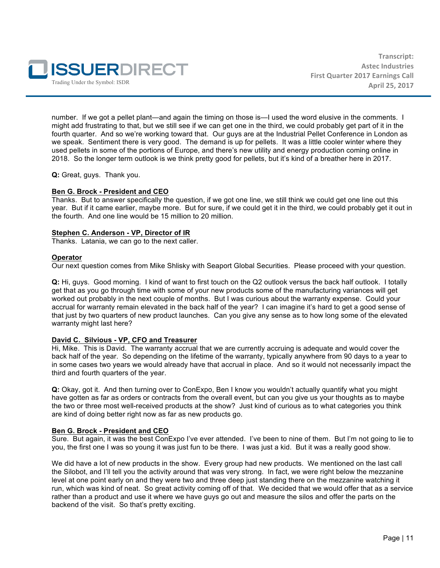

number. If we got a pellet plant—and again the timing on those is—I used the word elusive in the comments. I might add frustrating to that, but we still see if we can get one in the third, we could probably get part of it in the fourth quarter. And so we're working toward that. Our guys are at the Industrial Pellet Conference in London as we speak. Sentiment there is very good. The demand is up for pellets. It was a little cooler winter where they used pellets in some of the portions of Europe, and there's new utility and energy production coming online in 2018. So the longer term outlook is we think pretty good for pellets, but it's kind of a breather here in 2017.

**Q:** Great, guys. Thank you.

#### **Ben G. Brock - President and CEO**

Thanks. But to answer specifically the question, if we got one line, we still think we could get one line out this year. But if it came earlier, maybe more. But for sure, if we could get it in the third, we could probably get it out in the fourth. And one line would be 15 million to 20 million.

#### **Stephen C. Anderson - VP, Director of IR**

Thanks. Latania, we can go to the next caller.

#### **Operator**

Our next question comes from Mike Shlisky with Seaport Global Securities. Please proceed with your question.

**Q:** Hi, guys. Good morning. I kind of want to first touch on the Q2 outlook versus the back half outlook. I totally get that as you go through time with some of your new products some of the manufacturing variances will get worked out probably in the next couple of months. But I was curious about the warranty expense. Could your accrual for warranty remain elevated in the back half of the year? I can imagine it's hard to get a good sense of that just by two quarters of new product launches. Can you give any sense as to how long some of the elevated warranty might last here?

#### **David C. Silvious - VP, CFO and Treasurer**

Hi, Mike. This is David. The warranty accrual that we are currently accruing is adequate and would cover the back half of the year. So depending on the lifetime of the warranty, typically anywhere from 90 days to a year to in some cases two years we would already have that accrual in place. And so it would not necessarily impact the third and fourth quarters of the year.

**Q:** Okay, got it. And then turning over to ConExpo, Ben I know you wouldn't actually quantify what you might have gotten as far as orders or contracts from the overall event, but can you give us your thoughts as to maybe the two or three most well-received products at the show? Just kind of curious as to what categories you think are kind of doing better right now as far as new products go.

#### **Ben G. Brock - President and CEO**

Sure. But again, it was the best ConExpo I've ever attended. I've been to nine of them. But I'm not going to lie to you, the first one I was so young it was just fun to be there. I was just a kid. But it was a really good show.

We did have a lot of new products in the show. Every group had new products. We mentioned on the last call the Silobot, and I'll tell you the activity around that was very strong. In fact, we were right below the mezzanine level at one point early on and they were two and three deep just standing there on the mezzanine watching it run, which was kind of neat. So great activity coming off of that. We decided that we would offer that as a service rather than a product and use it where we have guys go out and measure the silos and offer the parts on the backend of the visit. So that's pretty exciting.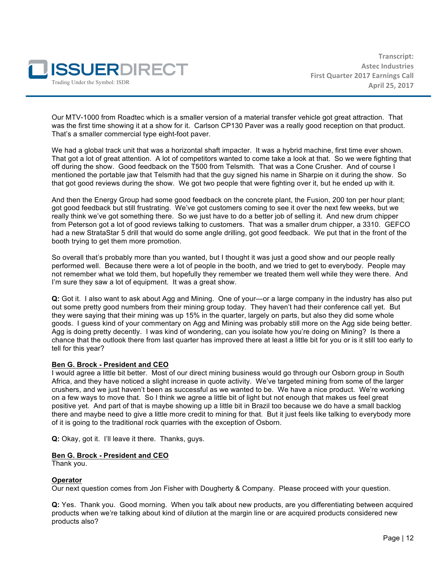

Our MTV-1000 from Roadtec which is a smaller version of a material transfer vehicle got great attraction. That was the first time showing it at a show for it. Carlson CP130 Paver was a really good reception on that product. That's a smaller commercial type eight-foot paver.

We had a global track unit that was a horizontal shaft impacter. It was a hybrid machine, first time ever shown. That got a lot of great attention. A lot of competitors wanted to come take a look at that. So we were fighting that off during the show. Good feedback on the T500 from Telsmith. That was a Cone Crusher. And of course I mentioned the portable jaw that Telsmith had that the guy signed his name in Sharpie on it during the show. So that got good reviews during the show. We got two people that were fighting over it, but he ended up with it.

And then the Energy Group had some good feedback on the concrete plant, the Fusion, 200 ton per hour plant; got good feedback but still frustrating. We've got customers coming to see it over the next few weeks, but we really think we've got something there. So we just have to do a better job of selling it. And new drum chipper from Peterson got a lot of good reviews talking to customers. That was a smaller drum chipper, a 3310. GEFCO had a new StrataStar 5 drill that would do some angle drilling, got good feedback. We put that in the front of the booth trying to get them more promotion.

So overall that's probably more than you wanted, but I thought it was just a good show and our people really performed well. Because there were a lot of people in the booth, and we tried to get to everybody. People may not remember what we told them, but hopefully they remember we treated them well while they were there. And I'm sure they saw a lot of equipment. It was a great show.

**Q:** Got it. I also want to ask about Agg and Mining. One of your—or a large company in the industry has also put out some pretty good numbers from their mining group today. They haven't had their conference call yet. But they were saying that their mining was up 15% in the quarter, largely on parts, but also they did some whole goods. I guess kind of your commentary on Agg and Mining was probably still more on the Agg side being better. Agg is doing pretty decently. I was kind of wondering, can you isolate how you're doing on Mining? Is there a chance that the outlook there from last quarter has improved there at least a little bit for you or is it still too early to tell for this year?

# **Ben G. Brock - President and CEO**

I would agree a little bit better. Most of our direct mining business would go through our Osborn group in South Africa, and they have noticed a slight increase in quote activity. We've targeted mining from some of the larger crushers, and we just haven't been as successful as we wanted to be. We have a nice product. We're working on a few ways to move that. So I think we agree a little bit of light but not enough that makes us feel great positive yet. And part of that is maybe showing up a little bit in Brazil too because we do have a small backlog there and maybe need to give a little more credit to mining for that. But it just feels like talking to everybody more of it is going to the traditional rock quarries with the exception of Osborn.

**Q:** Okay, got it. I'll leave it there. Thanks, guys.

#### **Ben G. Brock - President and CEO**

Thank you.

#### **Operator**

Our next question comes from Jon Fisher with Dougherty & Company. Please proceed with your question.

**Q:** Yes. Thank you. Good morning. When you talk about new products, are you differentiating between acquired products when we're talking about kind of dilution at the margin line or are acquired products considered new products also?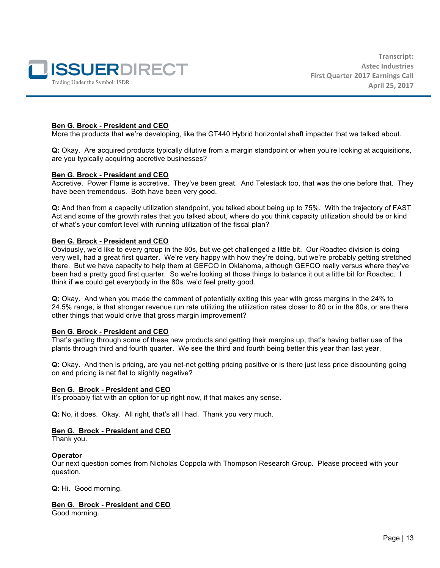

# **Ben G. Brock - President and CEO**

More the products that we're developing, like the GT440 Hybrid horizontal shaft impacter that we talked about.

**Q:** Okay. Are acquired products typically dilutive from a margin standpoint or when you're looking at acquisitions, are you typically acquiring accretive businesses?

#### **Ben G. Brock - President and CEO**

Accretive. Power Flame is accretive. They've been great. And Telestack too, that was the one before that. They have been tremendous. Both have been very good.

**Q:** And then from a capacity utilization standpoint, you talked about being up to 75%. With the trajectory of FAST Act and some of the growth rates that you talked about, where do you think capacity utilization should be or kind of what's your comfort level with running utilization of the fiscal plan?

#### **Ben G. Brock - President and CEO**

Obviously, we'd like to every group in the 80s, but we get challenged a little bit. Our Roadtec division is doing very well, had a great first quarter. We're very happy with how they're doing, but we're probably getting stretched there. But we have capacity to help them at GEFCO in Oklahoma, although GEFCO really versus where they've been had a pretty good first quarter. So we're looking at those things to balance it out a little bit for Roadtec. I think if we could get everybody in the 80s, we'd feel pretty good.

**Q:** Okay. And when you made the comment of potentially exiting this year with gross margins in the 24% to 24.5% range, is that stronger revenue run rate utilizing the utilization rates closer to 80 or in the 80s, or are there other things that would drive that gross margin improvement?

#### **Ben G. Brock - President and CEO**

That's getting through some of these new products and getting their margins up, that's having better use of the plants through third and fourth quarter. We see the third and fourth being better this year than last year.

**Q:** Okay. And then is pricing, are you net-net getting pricing positive or is there just less price discounting going on and pricing is net flat to slightly negative?

#### **Ben G. Brock - President and CEO**

It's probably flat with an option for up right now, if that makes any sense.

**Q:** No, it does. Okay. All right, that's all I had. Thank you very much.

#### **Ben G. Brock - President and CEO**

Thank you.

#### **Operator**

Our next question comes from Nicholas Coppola with Thompson Research Group. Please proceed with your question.

**Q:** Hi. Good morning.

# **Ben G. Brock - President and CEO**

Good morning.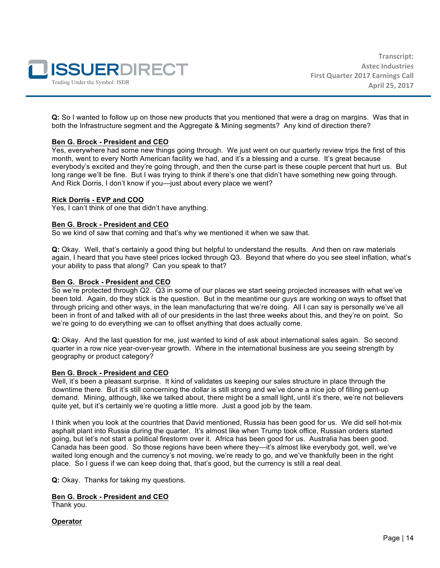

**Q:** So I wanted to follow up on those new products that you mentioned that were a drag on margins. Was that in both the Infrastructure segment and the Aggregate & Mining segments? Any kind of direction there?

# **Ben G. Brock - President and CEO**

Yes, everywhere had some new things going through. We just went on our quarterly review trips the first of this month, went to every North American facility we had, and it's a blessing and a curse. It's great because everybody's excited and they're going through, and then the curse part is these couple percent that hurt us. But long range we'll be fine. But I was trying to think if there's one that didn't have something new going through. And Rick Dorris, I don't know if you—just about every place we went?

#### **Rick Dorris - EVP and COO**

Yes, I can't think of one that didn't have anything.

# **Ben G. Brock - President and CEO**

So we kind of saw that coming and that's why we mentioned it when we saw that.

**Q:** Okay. Well, that's certainly a good thing but helpful to understand the results. And then on raw materials again, I heard that you have steel prices locked through Q3. Beyond that where do you see steel inflation, what's your ability to pass that along? Can you speak to that?

# **Ben G. Brock - President and CEO**

So we're protected through Q2. Q3 in some of our places we start seeing projected increases with what we've been told. Again, do they stick is the question. But in the meantime our guys are working on ways to offset that through pricing and other ways, in the lean manufacturing that we're doing. All I can say is personally we've all been in front of and talked with all of our presidents in the last three weeks about this, and they're on point. So we're going to do everything we can to offset anything that does actually come.

**Q:** Okay. And the last question for me, just wanted to kind of ask about international sales again. So second quarter in a row nice year-over-year growth. Where in the international business are you seeing strength by geography or product category?

#### **Ben G. Brock - President and CEO**

Well, it's been a pleasant surprise. It kind of validates us keeping our sales structure in place through the downtime there. But it's still concerning the dollar is still strong and we've done a nice job of filling pent-up demand. Mining, although, like we talked about, there might be a small light, until it's there, we're not believers quite yet, but it's certainly we're quoting a little more. Just a good job by the team.

I think when you look at the countries that David mentioned, Russia has been good for us. We did sell hot-mix asphalt plant into Russia during the quarter. It's almost like when Trump took office, Russian orders started going, but let's not start a political firestorm over it. Africa has been good for us. Australia has been good. Canada has been good. So those regions have been where they—it's almost like everybody got, well, we've waited long enough and the currency's not moving, we're ready to go, and we've thankfully been in the right place. So I guess if we can keep doing that, that's good, but the currency is still a real deal.

**Q:** Okay. Thanks for taking my questions.

#### **Ben G. Brock - President and CEO**

Thank you.

**Operator**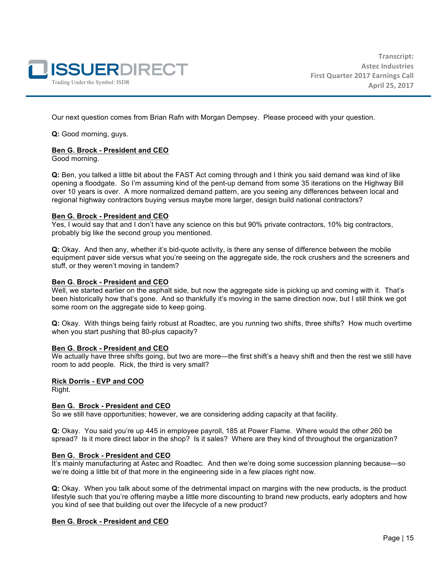

Our next question comes from Brian Rafn with Morgan Dempsey. Please proceed with your question.

**Q:** Good morning, guys.

#### **Ben G. Brock - President and CEO**

Good morning.

**Q:** Ben, you talked a little bit about the FAST Act coming through and I think you said demand was kind of like opening a floodgate. So I'm assuming kind of the pent-up demand from some 35 iterations on the Highway Bill over 10 years is over. A more normalized demand pattern, are you seeing any differences between local and regional highway contractors buying versus maybe more larger, design build national contractors?

#### **Ben G. Brock - President and CEO**

Yes, I would say that and I don't have any science on this but 90% private contractors, 10% big contractors, probably big like the second group you mentioned.

**Q:** Okay. And then any, whether it's bid-quote activity, is there any sense of difference between the mobile equipment paver side versus what you're seeing on the aggregate side, the rock crushers and the screeners and stuff, or they weren't moving in tandem?

#### **Ben G. Brock - President and CEO**

Well, we started earlier on the asphalt side, but now the aggregate side is picking up and coming with it. That's been historically how that's gone. And so thankfully it's moving in the same direction now, but I still think we got some room on the aggregate side to keep going.

**Q:** Okay. With things being fairly robust at Roadtec, are you running two shifts, three shifts? How much overtime when you start pushing that 80-plus capacity?

#### **Ben G. Brock - President and CEO**

We actually have three shifts going, but two are more—the first shift's a heavy shift and then the rest we still have room to add people. Rick, the third is very small?

#### **Rick Dorris - EVP and COO**

Right.

#### **Ben G. Brock - President and CEO**

So we still have opportunities; however, we are considering adding capacity at that facility.

**Q:** Okay. You said you're up 445 in employee payroll, 185 at Power Flame. Where would the other 260 be spread? Is it more direct labor in the shop? Is it sales? Where are they kind of throughout the organization?

#### **Ben G. Brock - President and CEO**

It's mainly manufacturing at Astec and Roadtec. And then we're doing some succession planning because—so we're doing a little bit of that more in the engineering side in a few places right now.

**Q:** Okay. When you talk about some of the detrimental impact on margins with the new products, is the product lifestyle such that you're offering maybe a little more discounting to brand new products, early adopters and how you kind of see that building out over the lifecycle of a new product?

#### **Ben G. Brock - President and CEO**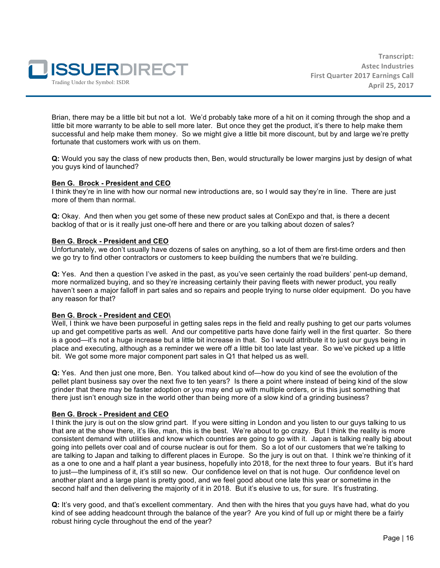

Brian, there may be a little bit but not a lot. We'd probably take more of a hit on it coming through the shop and a little bit more warranty to be able to sell more later. But once they get the product, it's there to help make them successful and help make them money. So we might give a little bit more discount, but by and large we're pretty fortunate that customers work with us on them.

**Q:** Would you say the class of new products then, Ben, would structurally be lower margins just by design of what you guys kind of launched?

# **Ben G. Brock - President and CEO**

I think they're in line with how our normal new introductions are, so I would say they're in line. There are just more of them than normal.

**Q:** Okay. And then when you get some of these new product sales at ConExpo and that, is there a decent backlog of that or is it really just one-off here and there or are you talking about dozen of sales?

# **Ben G. Brock - President and CEO**

Unfortunately, we don't usually have dozens of sales on anything, so a lot of them are first-time orders and then we go try to find other contractors or customers to keep building the numbers that we're building.

**Q:** Yes. And then a question I've asked in the past, as you've seen certainly the road builders' pent-up demand, more normalized buying, and so they're increasing certainly their paving fleets with newer product, you really haven't seen a major falloff in part sales and so repairs and people trying to nurse older equipment. Do you have any reason for that?

#### **Ben G. Brock - President and CEO\**

Well, I think we have been purposeful in getting sales reps in the field and really pushing to get our parts volumes up and get competitive parts as well. And our competitive parts have done fairly well in the first quarter. So there is a good—it's not a huge increase but a little bit increase in that. So I would attribute it to just our guys being in place and executing, although as a reminder we were off a little bit too late last year. So we've picked up a little bit. We got some more major component part sales in Q1 that helped us as well.

**Q:** Yes. And then just one more, Ben. You talked about kind of—how do you kind of see the evolution of the pellet plant business say over the next five to ten years? Is there a point where instead of being kind of the slow grinder that there may be faster adoption or you may end up with multiple orders, or is this just something that there just isn't enough size in the world other than being more of a slow kind of a grinding business?

#### **Ben G. Brock - President and CEO**

I think the jury is out on the slow grind part. If you were sitting in London and you listen to our guys talking to us that are at the show there, it's like, man, this is the best. We're about to go crazy. But I think the reality is more consistent demand with utilities and know which countries are going to go with it. Japan is talking really big about going into pellets over coal and of course nuclear is out for them. So a lot of our customers that we're talking to are talking to Japan and talking to different places in Europe. So the jury is out on that. I think we're thinking of it as a one to one and a half plant a year business, hopefully into 2018, for the next three to four years. But it's hard to just—the lumpiness of it, it's still so new. Our confidence level on that is not huge. Our confidence level on another plant and a large plant is pretty good, and we feel good about one late this year or sometime in the second half and then delivering the majority of it in 2018. But it's elusive to us, for sure. It's frustrating.

**Q:** It's very good, and that's excellent commentary. And then with the hires that you guys have had, what do you kind of see adding headcount through the balance of the year? Are you kind of full up or might there be a fairly robust hiring cycle throughout the end of the year?